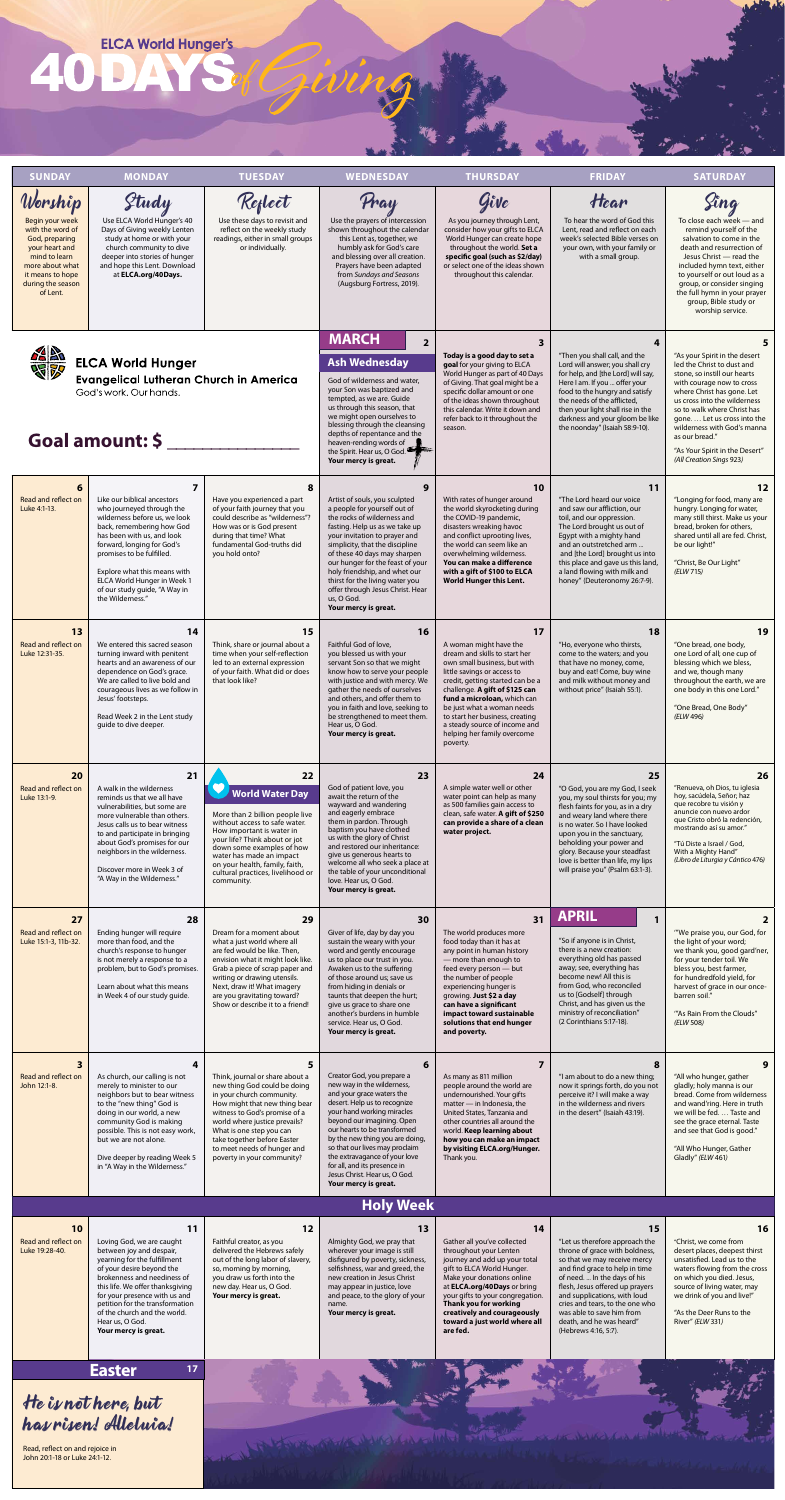## **ELCA World Hunger's** ZO.

| <b>SUNDAY</b>                                                                                                                                                               | <b>MONDAY</b>                                                                                                                                                                                                                                                                                                                        | <b>TUESDAY</b>                                                                                                                                                                                                                                                                                                          | <b>WEDNESDAY</b>                                                                                                                                                                                                                                                                                                                                                                                                          | <b>THURSDAY</b>                                                                                                                                                                                                                                                                                                                                                                | <b>FRIDAY</b>                                                                                                                                                                                                                                                                                                                                             | <b>SATURDAY</b>                                                                                                                                                                                                                                                                                                                                                    |
|-----------------------------------------------------------------------------------------------------------------------------------------------------------------------------|--------------------------------------------------------------------------------------------------------------------------------------------------------------------------------------------------------------------------------------------------------------------------------------------------------------------------------------|-------------------------------------------------------------------------------------------------------------------------------------------------------------------------------------------------------------------------------------------------------------------------------------------------------------------------|---------------------------------------------------------------------------------------------------------------------------------------------------------------------------------------------------------------------------------------------------------------------------------------------------------------------------------------------------------------------------------------------------------------------------|--------------------------------------------------------------------------------------------------------------------------------------------------------------------------------------------------------------------------------------------------------------------------------------------------------------------------------------------------------------------------------|-----------------------------------------------------------------------------------------------------------------------------------------------------------------------------------------------------------------------------------------------------------------------------------------------------------------------------------------------------------|--------------------------------------------------------------------------------------------------------------------------------------------------------------------------------------------------------------------------------------------------------------------------------------------------------------------------------------------------------------------|
| Worship<br>Begin your week<br>with the word of<br>God, preparing<br>your heart and<br>mind to learn<br>more about what<br>it means to hope<br>during the season<br>of Lent. | Study<br>Use ELCA World Hunger's 40<br>Days of Giving weekly Lenten<br>study at home or with your<br>church community to dive<br>deeper into stories of hunger<br>and hope this Lent. Download<br>at ELCA.org/40Days.                                                                                                                | Reflect<br>Use these days to revisit and<br>reflect on the weekly study<br>readings, either in small groups<br>or individually.                                                                                                                                                                                         | Pray<br>Use the prayers of intercession<br>shown throughout the calendar<br>this Lent as, together, we<br>humbly ask for God's care<br>and blessing over all creation.<br>Prayers have been adapted<br>from Sundays and Seasons<br>(Augsburg Fortress, 2019).                                                                                                                                                             | Give<br>As you journey through Lent,<br>consider how your gifts to ELCA<br>World Hunger can create hope<br>throughout the world. Set a<br>specific goal (such as \$2/day)<br>or select one of the ideas shown<br>throughout this calendar.                                                                                                                                     | Hear<br>To hear the word of God this<br>Lent, read and reflect on each<br>week's selected Bible verses on<br>your own, with your family or<br>with a small group.                                                                                                                                                                                         | Ling<br>To close each week - and<br>remind yourself of the<br>salvation to come in the<br>death and resurrection of<br>Jesus Christ - read the<br>included hymn text, either<br>to yourself or out loud as a<br>group, or consider singing<br>the full hymn in your prayer<br>group, Bible study or<br>worship service.                                            |
| <b>ELCA World Hunger</b><br><b>Evangelical Lutheran Church in America</b><br>God's work. Our hands.<br>Goal amount: \$                                                      |                                                                                                                                                                                                                                                                                                                                      |                                                                                                                                                                                                                                                                                                                         | <b>MARCH</b><br>$\overline{2}$<br><b>Ash Wednesday</b><br>God of wilderness and water,<br>your Son was baptized and<br>tempted, as we are. Guide<br>us through this season, that<br>we might open ourselves to<br>blessing through the cleansing<br>depths of repentance and the<br>heaven-rending words of<br>the Spirit. Hear us, O God.<br>Your mercy is great.                                                        | Today is a good day to set a<br>goal for your giving to ELCA<br>World Hunger as part of 40 Days<br>of Giving. That goal might be a<br>specific dollar amount or one<br>of the ideas shown throughout<br>this calendar. Write it down and<br>refer back to it throughout the<br>season.                                                                                         | "Then you shall call, and the<br>Lord will answer; you shall cry<br>for help, and [the Lord] will say,<br>Here I am. If you  offer your<br>food to the hungry and satisfy<br>the needs of the afflicted,<br>then your light shall rise in the<br>darkness and your gloom be like<br>the noonday" (Isaiah 58:9-10).                                        | "As your Spirit in the desert<br>led the Christ to dust and<br>stone, so instill our hearts<br>with courage now to cross<br>where Christ has gone. Let<br>us cross into the wilderness<br>so to walk where Christ has<br>gone Let us cross into the<br>wilderness with God's manna<br>as our bread."<br>"As Your Spirit in the Desert"<br>(All Creation Sings 923) |
| 6<br>Read and reflect on<br>Luke 4:1-13.                                                                                                                                    | Like our biblical ancestors<br>who journeyed through the<br>wilderness before us, we look<br>back, remembering how God<br>has been with us, and look<br>forward, longing for God's<br>promises to be fulfilled.<br>Explore what this means with<br>ELCA World Hunger in Week 1<br>of our study guide, "A Way in<br>the Wilderness."  | 8<br>Have you experienced a part<br>of your faith journey that you<br>could describe as "wilderness"?<br>How was or is God present<br>during that time? What<br>fundamental God-truths did<br>you hold onto?                                                                                                            | 9<br>Artist of souls, you sculpted<br>a people for yourself out of<br>the rocks of wilderness and<br>fasting. Help us as we take up<br>your invitation to prayer and<br>simplicity, that the discipline<br>of these 40 days may sharpen<br>our hunger for the feast of your<br>holy friendship, and whet our<br>thirst for the living water you<br>offer through Jesus Christ. Hear<br>us, O God.<br>Your mercy is great. | 10<br>With rates of hunger around<br>the world skyrocketing during<br>the COVID-19 pandemic,<br>disasters wreaking havoc<br>and conflict uprooting lives,<br>the world can seem like an<br>overwhelming wilderness.<br>You can make a difference<br>with a gift of \$100 to ELCA<br><b>World Hunger this Lent.</b>                                                             | <b>11</b><br>"The Lord heard our voice<br>and saw our affliction, our<br>toil, and our oppression.<br>The Lord brought us out of<br>Egypt with a mighty hand<br>and an outstretched arm<br>and [the Lord] brought us into<br>this place and gave us this land,<br>a land flowing with milk and<br>honey" (Deuteronomy 26:7-9).                            | $12 \overline{ }$<br>"Longing for food, many are<br>hungry. Longing for water,<br>many still thirst. Make us your<br>bread, broken for others,<br>shared until all are fed. Christ,<br>be our light!"<br>"Christ, Be Our Light"<br>(ELW 715)                                                                                                                       |
| 13<br><b>Read and reflect on</b><br>Luke 12:31-35.                                                                                                                          | 14<br>We entered this sacred season<br>turning inward with penitent<br>hearts and an awareness of our<br>dependence on God's grace.<br>We are called to live bold and<br>courageous lives as we follow in<br>Jesus' footsteps.<br>Read Week 2 in the Lent study<br>guide to dive deeper.                                             | 15<br>Think, share or journal about a<br>time when your self-reflection<br>led to an external expression<br>of your faith. What did or does<br>that look like?                                                                                                                                                          | 16<br>Faithful God of love,<br>you blessed us with your<br>servant Son so that we might<br>know how to serve your people<br>with justice and with mercy. We<br>gather the needs of ourselves<br>and others, and offer them to<br>you in faith and love, seeking to<br>be strengthened to meet them.<br>Hear us, O God.<br>Your mercy is great.                                                                            | 17<br>A woman might have the<br>dream and skills to start her<br>own small business, but with<br>little savings or access to<br>credit, getting started can be a<br>challenge. A gift of \$125 can<br>fund a microloan, which can<br>be just what a woman needs<br>to start her business, creating<br>a steady source of income and<br>helping her family overcome<br>poverty. | 18<br>"Ho, everyone who thirsts,<br>come to the waters; and you<br>that have no money, come,<br>buy and eat! Come, buy wine<br>and milk without money and<br>without price" (Isaiah 55:1).                                                                                                                                                                | 19<br>"One bread, one body,<br>one Lord of all; one cup of<br>blessing which we bless,<br>and we, though many<br>throughout the earth, we are<br>one body in this one Lord."<br>"One Bread, One Body"<br>(ELW 496)                                                                                                                                                 |
| 20<br><b>Read and reflect on</b><br>Luke 13:1-9.                                                                                                                            | 21<br>A walk in the wilderness<br>reminds us that we all have<br>vulnerabilities, but some are<br>more vulnerable than others.<br>Jesus calls us to bear witness<br>to and participate in bringing<br>about God's promises for our<br>neighbors in the wilderness.<br>Discover more in Week 3 of<br>"A Way in the Wilderness."       | 22<br><b>World Water Day</b><br>More than 2 billion people live<br>without access to safe water.<br>How important is water in<br>your life? Think about or jot<br>down some examples of how<br>water has made an impact<br>on your health, family, faith,<br>cultural practices, livelihood or<br>community.            | 23<br>God of patient love, you<br>await the return of the<br>wayward and wandering<br>and eagerly embrace<br>them in pardon. Through<br>baptism you have clothed<br>us with the glory of Christ<br>and restored our inheritance:<br>give us generous hearts to<br>welcome all who seek a place at<br>the table of your unconditional<br>love. Hear us, O God.<br>Your mercy is great.                                     | 24<br>A simple water well or other<br>water point can help as many<br>as 500 families gain access to<br>clean, safe water. A gift of \$250<br>can provide a share of a clean<br>water project.                                                                                                                                                                                 | 25<br>"O God, you are my God, I seek<br>you, my soul thirsts for you; my<br>flesh faints for you, as in a dry<br>and weary land where there<br>is no water. So I have looked<br>upon you in the sanctuary,<br>beholding your power and<br>glory. Because your steadfast<br>love is better than life, my lips<br>will praise you" (Psalm 63:1-3).          | 26<br>"Renueva, oh Dios, tu iglesia<br>hoy, sacúdela, Señor; haz<br>que recobre tu visión y<br>anuncie con nuevo ardor<br>que Cristo obró la redención,<br>mostrando así su amor."<br>"Tú Diste a Israel / God,<br>With a Mighty Hand"<br>(Libro de Liturgia y Cántico 476)                                                                                        |
| 27<br>Read and reflect on<br>Luke 15:1-3, 11b-32.                                                                                                                           | 28<br>Ending hunger will require<br>more than food, and the<br>church's response to hunger<br>is not merely a response to a<br>problem, but to God's promises.<br>Learn about what this means<br>in Week 4 of our study guide.                                                                                                       | 29<br>Dream for a moment about<br>what a just world where all<br>are fed would be like. Then,<br>envision what it might look like.<br>Grab a piece of scrap paper and<br>writing or drawing utensils.<br>Next, draw it! What imagery<br>are you gravitating toward?<br>Show or describe it to a friend!                 | 30<br>Giver of life, day by day you<br>sustain the weary with your<br>word and gently encourage<br>us to place our trust in you.<br>Awaken us to the suffering<br>of those around us; save us<br>from hiding in denials or<br>taunts that deepen the hurt;<br>give us grace to share one<br>another's burdens in humble<br>service. Hear us, O God.<br>Your mercy is great.                                               | 31<br>The world produces more<br>food today than it has at<br>any point in human history<br>— more than enough to<br>feed every person - but<br>the number of people<br>experiencing hunger is<br>growing. Just \$2 a day<br>can have a significant<br>impact toward sustainable<br>solutions that end hunger<br>and poverty.                                                  | <b>APRIL</b><br>"So if anyone is in Christ,<br>there is a new creation:<br>everything old has passed<br>away; see, everything has<br>become new! All this is<br>from God, who reconciled<br>us to [Godself] through<br>Christ, and has given us the<br>ministry of reconciliation"<br>(2 Corinthians 5:17-18).                                            | "We praise you, our God, for<br>the light of your word;<br>we thank you, good gard'ner,<br>for your tender toil. We<br>bless you, best farmer,<br>for hundredfold yield, for<br>harvest of grace in our once-<br>barren soil."<br>"As Rain From the Clouds"<br>(ELW 508)                                                                                           |
| Read and reflect on<br>John 12:1-8.                                                                                                                                         | 4<br>As church, our calling is not<br>merely to minister to our<br>neighbors but to bear witness<br>to the "new thing" God is<br>doing in our world, a new<br>community God is making<br>possible. This is not easy work,<br>but we are not alone.<br>Dive deeper by reading Week 5<br>in "A Way in the Wilderness."                 | Think, journal or share about a<br>new thing God could be doing<br>in your church community.<br>How might that new thing bear<br>witness to God's promise of a<br>world where justice prevails?<br>What is one step you can<br>take together before Easter<br>to meet needs of hunger and<br>poverty in your community? | 6<br>Creator God, you prepare a<br>new way in the wilderness,<br>and your grace waters the<br>desert. Help us to recognize<br>your hand working miracles<br>beyond our imagining. Open<br>our hearts to be transformed<br>by the new thing you are doing,<br>so that our lives may proclaim<br>the extravagance of your love<br>for all, and its presence in<br>Jesus Christ. Hear us, O God.<br>Your mercy is great.     | As many as 811 million<br>people around the world are<br>undernourished. Your gifts<br>$matter - in$ Indonesia, the<br>United States, Tanzania and<br>other countries all around the<br>world. Keep learning about<br>how you can make an impact<br>by visiting ELCA.org/Hunger.<br>Thank you.                                                                                 | 8<br>"I am about to do a new thing;<br>now it springs forth, do you not<br>perceive it? I will make a way<br>in the wilderness and rivers<br>in the desert" (Isaiah 43:19).                                                                                                                                                                               | 9<br>"All who hunger, gather<br>gladly; holy manna is our<br>bread. Come from wilderness<br>and wand'ring. Here in truth<br>we will be fed.  Taste and<br>see the grace eternal. Taste<br>and see that God is good."<br>"All Who Hunger, Gather<br>Gladly" (ELW 461)                                                                                               |
| <b>Holy Week</b><br>12<br>13<br>15<br>10<br>11<br>14<br>16                                                                                                                  |                                                                                                                                                                                                                                                                                                                                      |                                                                                                                                                                                                                                                                                                                         |                                                                                                                                                                                                                                                                                                                                                                                                                           |                                                                                                                                                                                                                                                                                                                                                                                |                                                                                                                                                                                                                                                                                                                                                           |                                                                                                                                                                                                                                                                                                                                                                    |
| Read and reflect on<br>Luke 19:28-40.                                                                                                                                       | Loving God, we are caught<br>between joy and despair,<br>yearning for the fulfillment<br>of your desire beyond the<br>brokenness and neediness of<br>this life. We offer thanksgiving<br>for your presence with us and<br>petition for the transformation<br>of the church and the world.<br>Hear us, O God.<br>Your mercy is great. | Faithful creator, as you<br>delivered the Hebrews safely<br>out of the long labor of slavery,<br>so, morning by morning,<br>you draw us forth into the<br>new day. Hear us, O God.<br>Your mercy is great.                                                                                                              | Almighty God, we pray that<br>wherever your image is still<br>disfigured by poverty, sickness,<br>selfishness, war and greed, the<br>new creation in Jesus Christ<br>may appear in justice, love<br>and peace, to the glory of your<br>name.<br>Your mercy is great.                                                                                                                                                      | Gather all you've collected<br>throughout your Lenten<br>journey and add up your total<br>gift to ELCA World Hunger.<br>Make your donations online<br>at ELCA.org/40Days or bring<br>your gifts to your congregation.<br>Thank you for working<br>creatively and courageously<br>toward a just world where all<br>are fed.                                                     | "Let us therefore approach the<br>throne of grace with boldness,<br>so that we may receive mercy<br>and find grace to help in time<br>of need.  In the days of his<br>flesh, Jesus offered up prayers<br>and supplications, with loud<br>cries and tears, to the one who<br>was able to save him from<br>death, and he was heard"<br>(Hebrews 4:16, 5:7). | "Christ, we come from<br>desert places, deepest thirst<br>unsatisfied. Lead us to the<br>waters flowing from the cross<br>on which you died. Jesus,<br>source of living water, may<br>we drink of you and live!"<br>"As the Deer Runs to the<br>River" (ELW 331)                                                                                                   |
| <b>Easter</b><br>17<br>He is not here, but<br>has risen! Alleluia!<br>Read, reflect on and rejoice in<br>John 20:1-18 or Luke 24:1-12.                                      |                                                                                                                                                                                                                                                                                                                                      | September 16                                                                                                                                                                                                                                                                                                            |                                                                                                                                                                                                                                                                                                                                                                                                                           |                                                                                                                                                                                                                                                                                                                                                                                |                                                                                                                                                                                                                                                                                                                                                           |                                                                                                                                                                                                                                                                                                                                                                    |